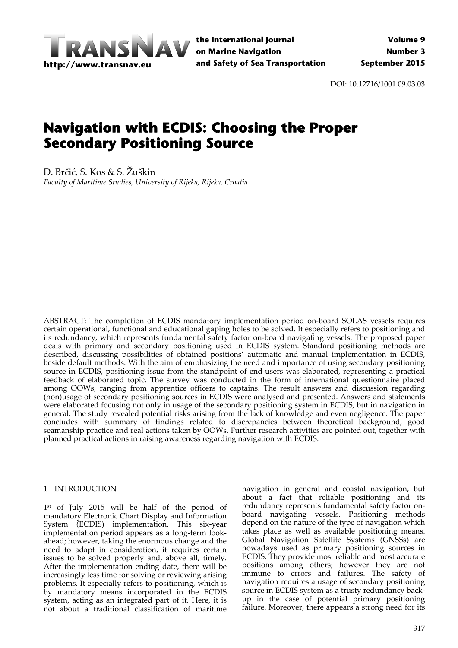

DOI: 10.12716/1001.09.03.03

# **Navigation with ECDIS: Choosing the Proper Secondary Positioning Source**

D. Brčić, S. Kos & S. Žuškin *Faculty of Maritime Studies, University of Rijeka, Rijeka, Croatia*

ABSTRACT: The completion of ECDIS mandatory implementation period on‐board SOLAS vessels requires certain operational, functional and educational gaping holes to be solved. It especially refers to positioning and its redundancy, which represents fundamental safety factor on‐board navigating vessels. The proposed paper deals with primary and secondary positioning used in ECDIS system. Standard positioning methods are described, discussing possibilities of obtained positions' automatic and manual implementation in ECDIS, beside default methods. With the aim of emphasizing the need and importance of using secondary positioning source in ECDIS, positioning issue from the standpoint of end-users was elaborated, representing a practical feedback of elaborated topic. The survey was conducted in the form of international questionnaire placed among OOWs, ranging from apprentice officers to captains. The result answers and discussion regarding (non)usage of secondary positioning sources in ECDIS were analysed and presented. Answers and statements were elaborated focusing not only in usage of the secondary positioning system in ECDIS, but in navigation in general. The study revealed potential risks arising from the lack of knowledge and even negligence. The paper concludes with summary of findings related to discrepancies between theoretical background, good seamanship practice and real actions taken by OOWs. Further research activities are pointed out, together with planned practical actions in raising awareness regarding navigation with ECDIS.

## 1 INTRODUCTION

1<sup>st</sup> of July 2015 will be half of the period of mandatory Electronic Chart Display and Information System (ECDIS) implementation. This six‐year implementation period appears as a long-term lookahead; however, taking the enormous change and the need to adapt in consideration, it requires certain issues to be solved properly and, above all, timely. After the implementation ending date, there will be increasingly less time for solving or reviewing arising problems. It especially refers to positioning, which is by mandatory means incorporated in the ECDIS system, acting as an integrated part of it. Here, it is not about a traditional classification of maritime

navigation in general and coastal navigation, but about a fact that reliable positioning and its redundancy represents fundamental safety factor on‐ board navigating vessels. Positioning methods depend on the nature of the type of navigation which takes place as well as available positioning means. Global Navigation Satellite Systems (GNSSs) are nowadays used as primary positioning sources in ECDIS. They provide most reliable and most accurate positions among others; however they are not immune to errors and failures. The safety of navigation requires a usage of secondary positioning source in ECDIS system as a trusty redundancy back‐ up in the case of potential primary positioning failure. Moreover, there appears a strong need for its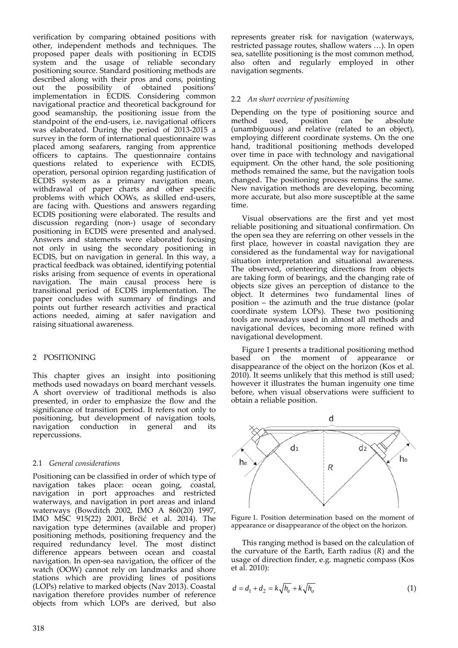verification by comparing obtained positions with other, independent methods and techniques. The proposed paper deals with positioning in ECDIS system and the usage of reliable secondary positioning source. Standard positioning methods are described along with their pros and cons, pointing<br>out the possibility of obtained positions' out the possibility of obtained implementation in ECDIS. Considering common navigational practice and theoretical background for good seamanship, the positioning issue from the standpoint of the end-users, i.e. navigational officers was elaborated. During the period of 2013‐2015 a survey in the form of international questionnaire was placed among seafarers, ranging from apprentice officers to captains. The questionnaire contains questions related to experience with ECDIS, operation, personal opinion regarding justification of ECDIS system as a primary navigation mean, withdrawal of paper charts and other specific problems with which OOWs, as skilled end‐users, are facing with. Questions and answers regarding ECDIS positioning were elaborated. The results and discussion regarding (non‐) usage of secondary positioning in ECDIS were presented and analysed. Answers and statements were elaborated focusing not only in using the secondary positioning in ECDIS, but on navigation in general. In this way, a practical feedback was obtained, identifying potential risks arising from sequence of events in operational navigation. The main causal process here is transitional period of ECDIS implementation. The paper concludes with summary of findings and points out further research activities and practical actions needed, aiming at safer navigation and raising situational awareness.

## 2 POSITIONING

This chapter gives an insight into positioning methods used nowadays on board merchant vessels. A short overview of traditional methods is also presented, in order to emphasize the flow and the significance of transition period. It refers not only to positioning, but development of navigation tools, navigation conduction in general and its repercussions.

## 2.1 *General considerations*

Positioning can be classified in order of which type of navigation takes place: ocean going, coastal, navigation in port approaches and restricted waterways, and navigation in port areas and inland waterways (Bowditch 2002, IMO A 860(20) 1997, IMO MSC 915(22) 2001, Brčić et al. 2014). The navigation type determines (available and proper) positioning methods, positioning frequency and the required redundancy level. The most distinct difference appears between ocean and coastal navigation. In open‐sea navigation, the officer of the watch (OOW) cannot rely on landmarks and shore stations which are providing lines of positions (LOPs) relative to marked objects (Nav 2013). Coastal navigation therefore provides number of reference objects from which LOPs are derived, but also represents greater risk for navigation (waterways, restricted passage routes, shallow waters …). In open sea, satellite positioning is the most common method, also often and regularly employed in other navigation segments.

# 2.2 *An short overview of positioning*

Depending on the type of positioning source and method used, position can be absolute (unambiguous) and relative (related to an object), employing different coordinate systems. On the one hand, traditional positioning methods developed over time in pace with technology and navigational equipment. On the other hand, the sole positioning methods remained the same, but the navigation tools changed. The positioning process remains the same. New navigation methods are developing, becoming more accurate, but also more susceptible at the same time.

Visual observations are the first and yet most reliable positioning and situational confirmation. On the open sea they are referring on other vessels in the first place, however in coastal navigation they are considered as the fundamental way for navigational situation interpretation and situational awareness. The observed, orienteering directions from objects are taking form of bearings, and the changing rate of objects size gives an perception of distance to the object. It determines two fundamental lines of position – the azimuth and the true distance (polar coordinate system LOPs). These two positioning tools are nowadays used in almost all methods and navigational devices, becoming more refined with navigational development.

Figure 1 presents a traditional positioning method based on the moment of appearance or disappearance of the object on the horizon (Kos et al. 2010). It seems unlikely that this method is still used; however it illustrates the human ingenuity one time before, when visual observations were sufficient to obtain a reliable position.



Figure 1. Position determination based on the moment of appearance or disappearance of the object on the horizon.

This ranging method is based on the calculation of the curvature of the Earth, Earth radius (*R*) and the usage of direction finder, e.g. magnetic compass (Kos et al. 2010):

$$
d = d_1 + d_2 = k \sqrt{h_e} + k \sqrt{h_o}
$$
 (1)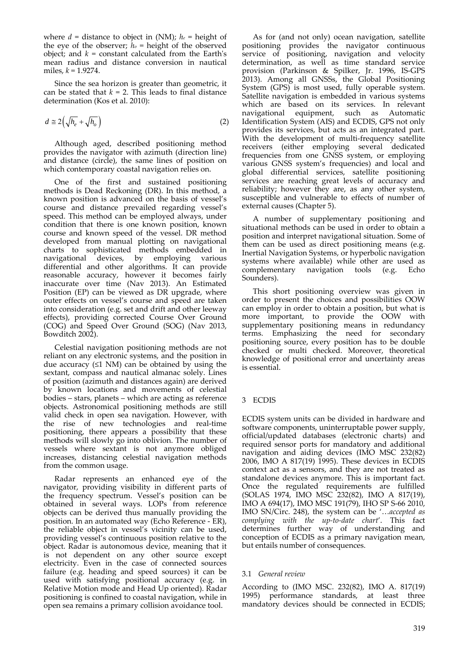where *d* = distance to object in (NM); *he* = height of the eye of the observer;  $h_0$  = height of the observed object; and  $k = constant$  calculated from the Earth's mean radius and distance conversion in nautical miles, *k* = 1.9274.

Since the sea horizon is greater than geometric, it can be stated that  $k = 2$ . This leads to final distance determination (Kos et al. 2010):

$$
d \cong 2\left(\sqrt{h_e} + \sqrt{h_o}\right) \tag{2}
$$

Although aged, described positioning method provides the navigator with azimuth (direction line) and distance (circle), the same lines of position on which contemporary coastal navigation relies on.

One of the first and sustained positioning methods is Dead Reckoning (DR). In this method, a known position is advanced on the basis of vessel's course and distance prevailed regarding vessel's speed. This method can be employed always, under condition that there is one known position, known course and known speed of the vessel. DR method developed from manual plotting on navigational charts to sophisticated methods embedded in navigational devices, by employing various differential and other algorithms. It can provide reasonable accuracy, however it becomes fairly inaccurate over time (Nav 2013). An Estimated Position (EP) can be viewed as DR upgrade, where outer effects on vessel's course and speed are taken into consideration (e.g. set and drift and other leeway effects), providing corrected Course Over Ground (COG) and Speed Over Ground (SOG) (Nav 2013, Bowditch 2002).

Celestial navigation positioning methods are not reliant on any electronic systems, and the position in due accuracy (≤1 NM) can be obtained by using the sextant, compass and nautical almanac solely. Lines of position (azimuth and distances again) are derived by known locations and movements of celestial bodies – stars, planets – which are acting as reference objects. Astronomical positioning methods are still valid check in open sea navigation. However, with the rise of new technologies and real-time positioning, there appears a possibility that these methods will slowly go into oblivion. The number of vessels where sextant is not anymore obliged increases, distancing celestial navigation methods from the common usage.

Radar represents an enhanced eye of the navigator, providing visibility in different parts of the frequency spectrum. Vessel's position can be obtained in several ways. LOPs from reference objects can be derived thus manually providing the position. In an automated way (Echo Reference ‐ ER), the reliable object in vessel's vicinity can be used, providing vessel's continuous position relative to the object. Radar is autonomous device, meaning that it is not dependent on any other source except electricity. Even in the case of connected sources failure (e.g. heading and speed sources) it can be used with satisfying positional accuracy (e.g. in Relative Motion mode and Head Up oriented). Radar positioning is confined to coastal navigation, while in open sea remains a primary collision avoidance tool.

As for (and not only) ocean navigation, satellite positioning provides the navigator continuous service of positioning, navigation and velocity determination, as well as time standard service provision (Parkinson & Spilker, Jr. 1996, IS‐GPS 2013). Among all GNSSs, the Global Positioning System (GPS) is most used, fully operable system. Satellite navigation is embedded in various systems which are based on its services. In relevant navigational equipment, such as Automatic Identification System (AIS) and ECDIS, GPS not only provides its services, but acts as an integrated part. With the development of multi‐frequency satellite receivers (either employing several dedicated frequencies from one GNSS system, or employing various GNSS system's frequencies) and local and global differential services, satellite positioning services are reaching great levels of accuracy and reliability; however they are, as any other system, susceptible and vulnerable to effects of number of external causes (Chapter 5).

A number of supplementary positioning and situational methods can be used in order to obtain a position and interpret navigational situation. Some of them can be used as direct positioning means (e.g. Inertial Navigation Systems, or hyperbolic navigation systems where available) while other are used as complementary navigation tools (e.g. Echo Sounders).

This short positioning overview was given in order to present the choices and possibilities OOW can employ in order to obtain a position, but what is more important, to provide the OOW with supplementary positioning means in redundancy terms. Emphasizing the need for secondary positioning source, every position has to be double checked or multi checked. Moreover, theoretical knowledge of positional error and uncertainty areas is essential.

## 3 ECDIS

ECDIS system units can be divided in hardware and software components, uninterruptable power supply, official/updated databases (electronic charts) and required sensor ports for mandatory and additional navigation and aiding devices (IMO MSC 232(82) 2006, IMO A 817(19) 1995). These devices in ECDIS context act as a sensors, and they are not treated as standalone devices anymore. This is important fact. Once the regulated requirements are fulfilled (SOLAS 1974, IMO MSC 232(82), IMO A 817(19), IMO A 694(17), IMO MSC 191(79), IHO SP S‐66 2010, IMO SN/Circ. 248), the system can be '…*accepted as complying with the up‐to‐date chart*'. This fact determines further way of understanding and conception of ECDIS as a primary navigation mean, but entails number of consequences.

## 3.1 *General review*

According to (IMO MSC. 232(82), IMO A. 817(19) 1995) performance standards, at least three mandatory devices should be connected in ECDIS;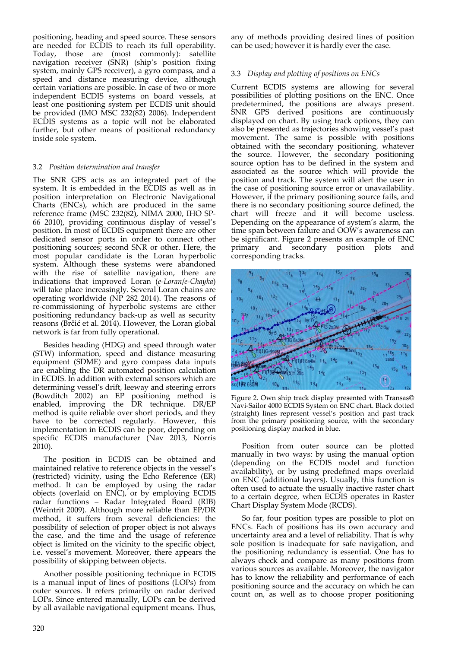positioning, heading and speed source. These sensors are needed for ECDIS to reach its full operability. Today, those are (most commonly): satellite navigation receiver (SNR) (ship's position fixing system, mainly GPS receiver), a gyro compass, and a speed and distance measuring device, although certain variations are possible. In case of two or more independent ECDIS systems on board vessels, at least one positioning system per ECDIS unit should be provided (IMO MSC 232(82) 2006). Independent ECDIS systems as a topic will not be elaborated further, but other means of positional redundancy inside sole system.

## 3.2 *Position determination and transfer*

The SNR GPS acts as an integrated part of the system. It is embedded in the ECDIS as well as in position interpretation on Electronic Navigational Charts (ENCs), which are produced in the same reference frame (MSC 232(82), NIMA 2000, IHO SP‐ 66 2010), providing continuous display of vessel's position. In most of ECDIS equipment there are other dedicated sensor ports in order to connect other positioning sources; second SNR or other. Here, the most popular candidate is the Loran hyperbolic system. Although these systems were abandoned with the rise of satellite navigation, there are indications that improved Loran (*e‐Loran*/*e‐Chayka*) will take place increasingly. Several Loran chains are operating worldwide ( $\overrightarrow{NP}$  282 2014). The reasons of re‐commissioning of hyperbolic systems are either positioning redundancy back‐up as well as security reasons (Brčić et al. 2014). However, the Loran global network is far from fully operational.

Besides heading (HDG) and speed through water (STW) information, speed and distance measuring equipment (SDME) and gyro compass data inputs are enabling the DR automated position calculation in ECDIS. In addition with external sensors which are determining vessel's drift, leeway and steering errors (Bowditch 2002) an EP positioning method is enabled, improving the DR technique. DR/EP method is quite reliable over short periods, and they have to be corrected regularly. However, this implementation in ECDIS can be poor, depending on specific ECDIS manufacturer (Nav 2013, Norris 2010).

The position in ECDIS can be obtained and maintained relative to reference objects in the vessel's (restricted) vicinity, using the Echo Reference (ER) method. It can be employed by using the radar objects (overlaid on ENC), or by employing ECDIS radar functions – Radar Integrated Board (RIB) (Weintrit 2009). Although more reliable than EP/DR method, it suffers from several deficiencies: the possibility of selection of proper object is not always the case, and the time and the usage of reference object is limited on the vicinity to the specific object, i.e. vessel's movement. Moreover, there appears the possibility of skipping between objects.

Another possible positioning technique in ECDIS is a manual input of lines of positions (LOPs) from outer sources. It refers primarily on radar derived LOPs. Since entered manually, LOPs can be derived by all available navigational equipment means. Thus,

any of methods providing desired lines of position can be used; however it is hardly ever the case.

#### 3.3 *Display and plotting of positions on ENCs*

Current ECDIS systems are allowing for several possibilities of plotting positions on the ENC. Once predetermined, the positions are always present. SNR GPS derived positions are continuously displayed on chart. By using track options, they can also be presented as trajectories showing vessel's past movement. The same is possible with positions obtained with the secondary positioning, whatever the source. However, the secondary positioning source option has to be defined in the system and associated as the source which will provide the position and track. The system will alert the user in the case of positioning source error or unavailability. However, if the primary positioning source fails, and there is no secondary positioning source defined, the chart will freeze and it will become useless. Depending on the appearance of system's alarm, the time span between failure and OOW's awareness can be significant. Figure 2 presents an example of ENC primary and secondary position plots and corresponding tracks.



Figure 2. Own ship track display presented with Transas© Navi‐Sailor 4000 ECDIS System on ENC chart. Black dotted (straight) lines represent vessel's position and past track from the primary positioning source, with the secondary positioning display marked in blue.

Position from outer source can be plotted manually in two ways: by using the manual option (depending on the ECDIS model and function availability), or by using predefined maps overlaid on ENC (additional layers). Usually, this function is often used to actuate the usually inactive raster chart to a certain degree, when ECDIS operates in Raster Chart Display System Mode (RCDS).

So far, four position types are possible to plot on ENCs. Each of positions has its own accuracy and uncertainty area and a level of reliability. That is why sole position is inadequate for safe navigation, and the positioning redundancy is essential. One has to always check and compare as many positions from various sources as available. Moreover, the navigator has to know the reliability and performance of each positioning source and the accuracy on which he can count on, as well as to choose proper positioning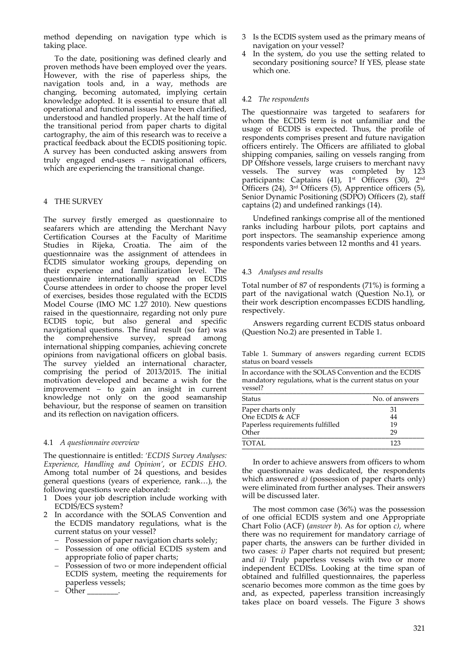method depending on navigation type which is taking place.

To the date, positioning was defined clearly and proven methods have been employed over the years. However, with the rise of paperless ships, the navigation tools and, in a way, methods are changing, becoming automated, implying certain knowledge adopted. It is essential to ensure that all operational and functional issues have been clarified, understood and handled properly. At the half time of the transitional period from paper charts to digital cartography, the aim of this research was to receive a practical feedback about the ECDIS positioning topic. A survey has been conducted asking answers from truly engaged end‐users – navigational officers, which are experiencing the transitional change.

## 4 THE SURVEY

The survey firstly emerged as questionnaire to seafarers which are attending the Merchant Navy Certification Courses at the Faculty of Maritime Studies in Rijeka, Croatia. The aim of the questionnaire was the assignment of attendees in ECDIS simulator working groups, depending on their experience and familiarization level. The questionnaire internationally spread on ECDIS Course attendees in order to choose the proper level of exercises, besides those regulated with the ECDIS Model Course (IMO MC 1.27 2010). New questions raised in the questionnaire, regarding not only pure ECDIS topic, but also general and specific navigational questions. The final result (so far) was the comprehensive survey, spread among international shipping companies, achieving concrete opinions from navigational officers on global basis. The survey yielded an international character, comprising the period of 2013/2015. The initial motivation developed and became a wish for the improvement – to gain an insight in current knowledge not only on the good seamanship behaviour, but the response of seamen on transition and its reflection on navigation officers.

#### 4.1 *A questionnaire overview*

The questionnaire is entitled: *'ECDIS Survey Analyses: Experience, Handling and Opinion'*, or *ECDIS EHO*. Among total number of 24 questions, and besides general questions (years of experience, rank…), the following questions were elaborated:

- 1 Does your job description include working with ECDIS/ECS system?
- 2 In accordance with the SOLAS Convention and the ECDIS mandatory regulations, what is the current status on your vessel?
	- Possession of paper navigation charts solely;
	- Possession of one official ECDIS system and appropriate folio of paper charts;
	- Possession of two or more independent official ECDIS system, meeting the requirements for paperless vessels;
	- Other  $\rule{1em}{0.15mm}$
- 3 Is the ECDIS system used as the primary means of navigation on your vessel?
- In the system, do you use the setting related to secondary positioning source? If YES, please state which one.

#### 4.2 *The respondents*

The questionnaire was targeted to seafarers for whom the ECDIS term is not unfamiliar and the usage of ECDIS is expected. Thus, the profile of respondents comprises present and future navigation officers entirely. The Officers are affiliated to global shipping companies, sailing on vessels ranging from DP Offshore vessels, large cruisers to merchant navy vessels. The survey was completed by 123 participants: Captains (41), 1<sup>st</sup> Officers (30), 2<sup>nd</sup> Officers (24), 3rd Officers (5), Apprentice officers (5), Senior Dynamic Positioning (SDPO) Officers (2), staff captains (2) and undefined rankings (14).

Undefined rankings comprise all of the mentioned ranks including harbour pilots, port captains and port inspectors. The seamanship experience among respondents varies between 12 months and 41 years.

## 4.3 *Analyses and results*

Total number of 87 of respondents (71%) is forming a part of the navigational watch (Question No.1), or their work description encompasses ECDIS handling, respectively.

Answers regarding current ECDIS status onboard (Question No.2) are presented in Table 1.

Table 1. Summary of answers regarding current ECDIS status on board vessels \_\_\_\_\_\_\_\_\_\_\_\_\_\_\_\_\_\_\_\_\_\_\_\_\_\_\_\_\_\_\_\_\_\_\_\_\_\_\_\_\_\_\_\_\_\_\_

In accordance with the SOLAS Convention and the ECDIS mandatory regulations, what is the current status on your vessel? \_\_\_\_\_\_\_\_\_\_\_\_\_\_\_\_\_\_\_\_\_\_\_\_\_\_\_\_\_\_\_\_\_\_\_\_\_\_\_\_\_\_\_\_\_\_\_

| <b>Status</b>                    | No. of answers |
|----------------------------------|----------------|
| Paper charts only                | 31             |
| One ECDIS & ACF                  | 44             |
| Paperless requirements fulfilled | 19             |
| Other                            | 29             |
| <b>TOTAL</b>                     | 123            |

In order to achieve answers from officers to whom the questionnaire was dedicated, the respondents which answered *a)* (possession of paper charts only) were eliminated from further analyses. Their answers will be discussed later.

The most common case (36%) was the possession of one official ECDIS system and one Appropriate Chart Folio (ACF) (*answer b*). As for option *c)*, where there was no requirement for mandatory carriage of paper charts, the answers can be further divided in two cases: *i)* Paper charts not required but present; and *ii)* Truly paperless vessels with two or more independent ECDISs. Looking at the time span of obtained and fulfilled questionnaires, the paperless scenario becomes more common as the time goes by and, as expected, paperless transition increasingly takes place on board vessels. The Figure 3 shows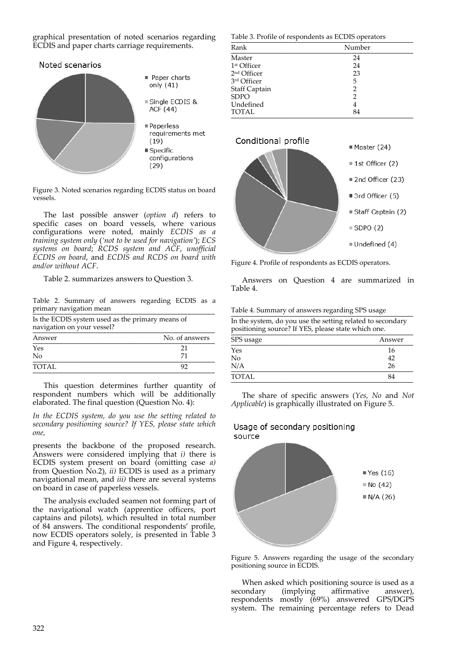graphical presentation of noted scenarios regarding ECDIS and paper charts carriage requirements.



Figure 3. Noted scenarios regarding ECDIS status on board vessels.

The last possible answer (*option d*) refers to specific cases on board vessels, where various configurations were noted, mainly *ECDIS as a training system only* (*'not to be used for navigation'*); *ECS systems on board*; *RCDS system and ACF*, *unofficial ECDIS on board*, and *ECDIS and RCDS on board with and/or without ACF*.

Table 2. summarizes answers to Question 3.

Table 2. Summary of answers regarding ECDIS as a primary navigation mean

Is the ECDIS system used as the primary means of navigation on your vessel?

| Answer | No. of answers |
|--------|----------------|
| Yes    |                |
| No     |                |
| TOTAL  |                |

This question determines further quantity of respondent numbers which will be additionally elaborated. The final question (Question No. 4):

*In the ECDIS system, do you use the setting related to secondary positioning source? If YES, please state which one,*

presents the backbone of the proposed research. Answers were considered implying that  $i$ ) there is ECDIS system present on board (omitting case *a)* from Question No.2), *ii)* ECDIS is used as a primary navigational mean, and *iii)* there are several systems on board in case of paperless vessels.

The analysis excluded seamen not forming part of the navigational watch (apprentice officers, port captains and pilots), which resulted in total number of 84 answers. The conditional respondents' profile, now ECDIS operators solely, is presented in Table 3 and Figure 4, respectively.

Table 3. Profile of respondents as ECDIS operators

| Rank                    | Number |
|-------------------------|--------|
| Master                  | 24     |
| 1 <sup>st</sup> Officer | 24     |
| 2 <sup>nd</sup> Officer | 23     |
| 3rd Officer             | 5      |
| <b>Staff Captain</b>    | 2      |
| <b>SDPO</b>             | 2      |
| Undefined               | 4      |
| <b>TOTAL</b>            | 84     |



Figure 4. Profile of respondents as ECDIS operators.

Answers on Question 4 are summarized in Table 4.

Table 4. Summary of answers regarding SPS usage

In the system, do you use the setting related to secondary positioning source? If YES, please state which one.

| SPS usage    | Answer |
|--------------|--------|
| Yes          | 16     |
| No           | 42     |
| N/A          | 26     |
| <b>TOTAL</b> | 84     |
|              |        |

The share of specific answers (*Yes*, *No* and *Not Applicable*) is graphically illustrated on Figure 5.

# Usage of secondary positioning source



Figure 5. Answers regarding the usage of the secondary positioning source in ECDIS.

When asked which positioning source is used as a secondary (implying affirmative answer), respondents mostly (69%) answered GPS/DGPS system. The remaining percentage refers to Dead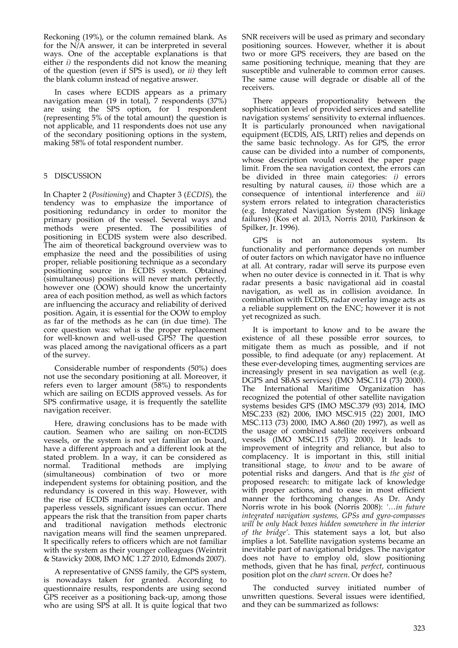Reckoning (19%), or the column remained blank. As for the N/A answer, it can be interpreted in several ways. One of the acceptable explanations is that either  $i$ ) the respondents did not know the meaning of the question (even if SPS is used), or *ii)* they left the blank column instead of negative answer.

In cases where ECDIS appears as a primary navigation mean (19 in total), 7 respondents (37%) are using the SPS option, for 1 respondent (representing 5% of the total amount) the question is not applicable, and 11 respondents does not use any of the secondary positioning options in the system, making 58% of total respondent number.

# 5 DISCUSSION

In Chapter 2 (*Positioning*) and Chapter 3 (*ECDIS*), the tendency was to emphasize the importance of positioning redundancy in order to monitor the primary position of the vessel. Several ways and methods were presented. The possibilities of positioning in ECDIS system were also described. The aim of theoretical background overview was to emphasize the need and the possibilities of using proper, reliable positioning technique as a secondary positioning source in ECDIS system. Obtained (simultaneous) positions will never match perfectly, however one (OOW) should know the uncertainty area of each position method, as well as which factors are influencing the accuracy and reliability of derived position. Again, it is essential for the OOW to employ as far of the methods as he can (in due time). The core question was: what is the proper replacement for well‐known and well‐used GPS? The question was placed among the navigational officers as a part of the survey.

Considerable number of respondents (50%) does not use the secondary positioning at all. Moreover, it refers even to larger amount (58%) to respondents which are sailing on ECDIS approved vessels. As for SPS confirmative usage, it is frequently the satellite navigation receiver.

Here, drawing conclusions has to be made with caution. Seamen who are sailing on non‐ECDIS vessels, or the system is not yet familiar on board, have a different approach and a different look at the stated problem. In a way, it can be considered as normal. Traditional methods are implying (simultaneous) combination of two or more independent systems for obtaining position, and the redundancy is covered in this way. However, with the rise of ECDIS mandatory implementation and paperless vessels, significant issues can occur. There appears the risk that the transition from paper charts and traditional navigation methods electronic navigation means will find the seamen unprepared. It specifically refers to officers which are not familiar with the system as their younger colleagues (Weintrit & Stawicky 2008, IMO MC 1.27 2010, Edmonds 2007).

A representative of GNSS family, the GPS system, is nowadays taken for granted. According to questionnaire results, respondents are using second GPS receiver as a positioning back‐up, among those who are using SPS at all. It is quite logical that two SNR receivers will be used as primary and secondary positioning sources. However, whether it is about two or more GPS receivers, they are based on the same positioning technique, meaning that they are susceptible and vulnerable to common error causes. The same cause will degrade or disable all of the receivers.

There appears proportionality between the sophistication level of provided services and satellite navigation systems' sensitivity to external influences. It is particularly pronounced when navigational equipment (ECDIS, AIS, LRIT) relies and depends on the same basic technology. As for GPS, the error cause can be divided into a number of components, whose description would exceed the paper page limit. From the sea navigation context, the errors can be divided in three main categories: *i)* errors resulting by natural causes, *ii)* those which are a consequence of intentional interference and *iii)* system errors related to integration characteristics (e.g. Integrated Navigation System (INS) linkage failures) (Kos et al. 2013, Norris 2010, Parkinson & Spilker, Jr. 1996).

GPS is not an autonomous system. Its functionality and performance depends on number of outer factors on which navigator have no influence at all. At contrary, radar will serve its purpose even when no outer device is connected in it. That is why radar presents a basic navigational aid in coastal navigation, as well as in collision avoidance. In combination with ECDIS, radar overlay image acts as a reliable supplement on the ENC; however it is not yet recognized as such.

It is important to know and to be aware the existence of all these possible error sources, to mitigate them as much as possible, and if not possible, to find adequate (or any) replacement. At these ever‐developing times, augmenting services are increasingly present in sea navigation as well (e.g. DGPS and SBAS services) (IMO MSC.114 (73) 2000). The International Maritime Organization has recognized the potential of other satellite navigation systems besides GPS (IMO MSC.379 (93) 2014, IMO MSC.233 (82) 2006, IMO MSC.915 (22) 2001, IMO MSC.113 (73) 2000, IMO A.860 (20) 1997), as well as the usage of combined satellite receivers onboard vessels (IMO MSC.115 (73) 2000). It leads to improvement of integrity and reliance, but also to complacency. It is important in this, still initial transitional stage, to *know* and to be aware of potential risks and dangers. And that is *the gist* of proposed research: to mitigate lack of knowledge with proper actions, and to ease in most efficient manner the forthcoming changes. As Dr. Andy Norris wrote in his book (Norris 2008): *'…in future integrated navigation systems, GPSs and gyro‐compasses will be only black boxes hidden somewhere in the interior of the bridge'*. This statement says a lot, but also implies a lot. Satellite navigation systems became an inevitable part of navigational bridges. The navigator does not have to employ old, slow positioning methods, given that he has final, *perfect*, continuous position plot on the *chart screen*. Or does he?

The conducted survey initiated number of unwritten questions. Several issues were identified, and they can be summarized as follows: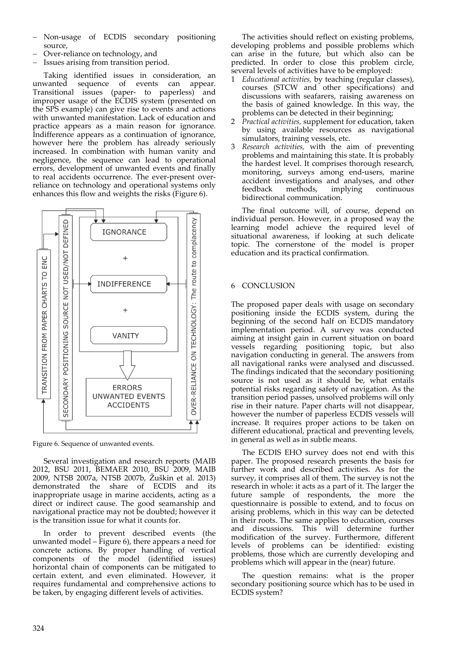- Non‐usage of ECDIS secondary positioning source,
- Over‐reliance on technology, and
- Issues arising from transition period.

Taking identified issues in consideration, an unwanted sequence of events can appear. Transitional issues (paper‐ to paperless) and improper usage of the ECDIS system (presented on the SPS example) can give rise to events and actions with unwanted manifestation. Lack of education and practice appears as a main reason for ignorance. Indifference appears as a continuation of ignorance, however here the problem has already seriously increased. In combination with human vanity and negligence, the sequence can lead to operational errors, development of unwanted events and finally to real accidents occurrence. The ever-present overreliance on technology and operational systems only enhances this flow and weights the risks (Figure 6).



Figure 6. Sequence of unwanted events.

Several investigation and research reports (MAIB 2012, BSU 2011, BEMAER 2010, BSU 2009, MAIB 2009, NTSB 2007a, NTSB 2007b, Žuškin et al. 2013) demonstrated the share of ECDIS and its inappropriate usage in marine accidents, acting as a direct or indirect cause. The good seamanship and navigational practice may not be doubted; however it is the transition issue for what it counts for.

In order to prevent described events (the unwanted model – Figure 6), there appears a need for concrete actions. By proper handling of vertical components of the model (identified issues) horizontal chain of components can be mitigated to certain extent, and even eliminated. However, it requires fundamental and comprehensive actions to be taken, by engaging different levels of activities.

The activities should reflect on existing problems, developing problems and possible problems which can arise in the future, but which also can be predicted. In order to close this problem circle, several levels of activities have to be employed:

- 1 *Educational activities,* by teaching (regular classes), courses (STCW and other specifications) and discussions with seafarers, raising awareness on the basis of gained knowledge. In this way, the problems can be detected in their beginning;
- 2 *Practical activities,* supplement for education, taken by using available resources as navigational simulators, training vessels, etc.
- 3 *Research activities,* with the aim of preventing problems and maintaining this state. It is probably the hardest level. It comprises thorough research, monitoring, surveys among end‐users, marine accident investigations and analyses, and other feedback methods, implying continuous bidirectional communication.

The final outcome will, of course, depend on individual person. However, in a proposed way the learning model achieve the required level of situational awareness, if looking at such delicate topic. The cornerstone of the model is proper education and its practical confirmation.

## 6 CONCLUSION

The proposed paper deals with usage on secondary positioning inside the ECDIS system, during the beginning of the second half on ECDIS mandatory implementation period. A survey was conducted aiming at insight gain in current situation on board vessels regarding positioning topic, but also navigation conducting in general. The answers from all navigational ranks were analysed and discussed. The findings indicated that the secondary positioning source is not used as it should be, what entails potential risks regarding safety of navigation. As the transition period passes, unsolved problems will only rise in their nature. Paper charts will not disappear, however the number of paperless ECDIS vessels will increase. It requires proper actions to be taken on different educational, practical and preventing levels, in general as well as in subtle means.

The ECDIS EHO survey does not end with this paper. The proposed research presents the basis for further work and described activities. As for the survey, it comprises all of them. The survey is not the research in whole: it acts as a part of it. The larger the future sample of respondents, the more the questionnaire is possible to extend, and to focus on arising problems, which in this way can be detected in their roots. The same applies to education, courses and discussions. This will determine further modification of the survey. Furthermore, different levels of problems can be identified: existing problems, those which are currently developing and problems which will appear in the (near) future.

The question remains: what is the proper secondary positioning source which has to be used in ECDIS system?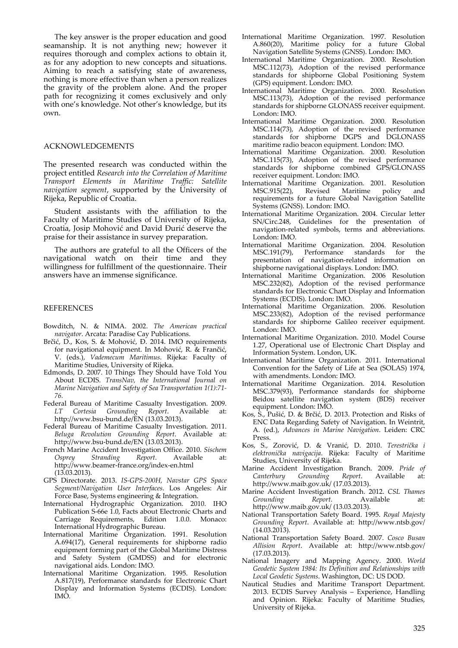The key answer is the proper education and good seamanship. It is not anything new; however it requires thorough and complex actions to obtain it, as for any adoption to new concepts and situations. Aiming to reach a satisfying state of awareness, nothing is more effective than when a person realizes the gravity of the problem alone. And the proper path for recognizing it comes exclusively and only with one's knowledge. Not other's knowledge, but its own.

#### ACKNOWLEDGEMENTS

The presented research was conducted within the project entitled *Research into the Correlation of Maritime Transport Elements in Maritime Traffic: Satellite navigation segment*, supported by the University of Rijeka, Republic of Croatia.

Student assistants with the affiliation to the Faculty of Maritime Studies of University of Rijeka, Croatia, Josip Mohović and David Đurić deserve the praise for their assistance in survey preparation.

The authors are grateful to all the Officers of the navigational watch on their time and they willingness for fulfillment of the questionnaire. Their answers have an immense significance.

#### REFERENCES

- Bowditch, N. & NIMA. 2002. *The American practical navigator*. Arcata: Paradise Cay Publications.
- Brčić, D., Kos, S. & Mohović, Đ. 2014. IMO requirements for navigational equipment. In Mohović, R. & Frančić, V. (eds.), *Vademecum Maritimus*. Rijeka: Faculty of Maritime Studies, University of Rijeka.
- Edmonds, D. 2007. 10 Things They Should have Told You About ECDIS. *TransNav, the International Journal on Marine Navigation and Safety of Sea Transportation 1(1):71‐ 76.*
- Federal Bureau of Maritime Casualty Investigation. 2009. *LT Cortesia Grounding Report*. Available at: http://www.bsu‐bund.de/EN (13.03.2013).
- Federal Bureau of Maritime Casualty Investigation. 2011. *Beluga Revolution Grounding Report*. Available at: http://www.bsu‐bund.de/EN (13.03.2013).
- French Marine Accident Investigation Office. 2010. *Sischem Osprey Stranding Report*. Available at: http://www.beamer‐france.org/index‐en.html (13.03.2013).
- GPS Directorate. 2013. *IS‐GPS‐200H, Navstar GPS Space Segment/Navigation User Interfaces*. Los Angeles: Air Force Base, Systems engineering & Integration.
- International Hydrographic Organization. 2010. IHO Publication S‐66e 1.0, Facts about Electronic Charts and Carriage Requirements, Edition 1.0.0. Monaco: International Hydrographic Bureau.
- International Maritime Organization. 1991. Resolution A.694(17), General requirements for shipborne radio equipment forming part of the Global Maritime Distress and Safety System (GMDSS) and for electronic navigational aids. London: IMO.
- International Maritime Organization. 1995. Resolution A.817(19), Performance standards for Electronic Chart Display and Information Systems (ECDIS). London: IMO.
- International Maritime Organization. 1997. Resolution A.860(20), Maritime policy for a future Global Navigation Satellite Systems (GNSS). London: IMO.
- International Maritime Organization. 2000. Resolution MSC.112(73), Adoption of the revised performance standards for shipborne Global Positioning System (GPS) equipment. London: IMO.
- International Maritime Organization. 2000. Resolution MSC.113(73), Adoption of the revised performance standards for shipborne GLONASS receiver equipment. London: IMO.
- International Maritime Organization. 2000. Resolution MSC.114(73), Adoption of the revised performance standards for shipborne DGPS and DGLONASS maritime radio beacon equipment. London: IMO.
- International Maritime Organization. 2000. Resolution MSC.115(73), Adoption of the revised performance standards for shipborne combined GPS/GLONASS receiver equipment. London: IMO.
- International Maritime Organization. 2001. Resolution Revised Maritime policy and requirements for a future Global Navigation Satellite Systems (GNSS). London: IMO.
- International Maritime Organization. 2004. Circular letter SN/Circ.248, Guidelines for the presentation of navigation‐related symbols, terms and abbreviations. London: IMO.
- International Maritime Organization. 2004. Resolution MSC.191(79), Performance standards for the presentation of navigation‐related information on shipborne navigational displays. London: IMO.
- International Maritime Organization. 2006 Resolution MSC.232(82), Adoption of the revised performance standards for Electronic Chart Display and Information Systems (ECDIS). London: IMO.
- International Maritime Organization. 2006. Resolution MSC.233(82), Adoption of the revised performance standards for shipborne Galileo receiver equipment. London: IMO.
- International Maritime Organization. 2010. Model Course 1.27, Operational use of Electronic Chart Display and Information System. London, UK.
- International Maritime Organization. 2011. International Convention for the Safety of Life at Sea (SOLAS) 1974, with amendments. London: IMO.
- International Maritime Organization. 2014. Resolution MSC.379(93), Performance standards for shipborne Beidou satellite navigation system (BDS) receiver equipment. London: IMO.
- Kos, S., Pušić, D. & Brčić, D. 2013. Protection and Risks of ENC Data Regarding Safety of Navigation. In Weintrit, A. (ed.), *Advances in Marine Navigation*. Leiden: CRC Press.
- Kos, S., Zorović, D. & Vranić, D. 2010. *Terestrička i elektronička navigacija*. Rijeka: Faculty of Maritime Studies, University of Rijeka.
- Marine Accident Investigation Branch. 2009. *Pride of Canterbury Grounding Report*. Available at: http://www.maib.gov.uk/ (17.03.2013).
- Marine Accident Investigation Branch. 2012. *CSL Thames Grounding Report*. Available at: http://www.maib.gov.uk/ (13.03.2013).
- National Transportation Safety Board. 1995. *Royal Majesty Grounding Report*. Available at: http://www.ntsb.gov/ (14.03.2013).
- National Transportation Safety Board. 2007. *Cosco Busan Allision Report*. Available at: http://www.ntsb.gov/ (17.03.2013).
- National Imagery and Mapping Agency. 2000. *World Geodetic System 1984: Its Definition and Relationships with Local Geodetic Systems*. Washington, DC: US DOD.
- Nautical Studies and Maritime Transport Department. 2013. ECDIS Survey Analysis – Experience, Handling and Opinion. Rijeka: Faculty of Maritime Studies, University of Rijeka.